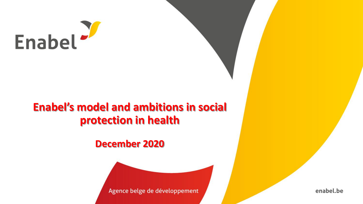

## **Enabel's model and ambitions in social protection in health**

**December 2020**



enabel.be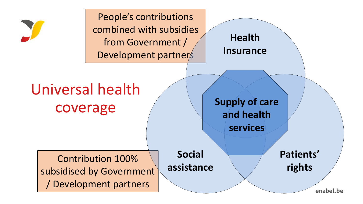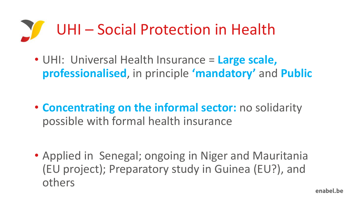

• UHI: Universal Health Insurance = **Large scale, professionalised**, in principle **'mandatory'** and **Public**

• **Concentrating on the informal sector:** no solidarity possible with formal health insurance

• Applied in Senegal; ongoing in Niger and Mauritania (EU project); Preparatory study in Guinea (EU?), and others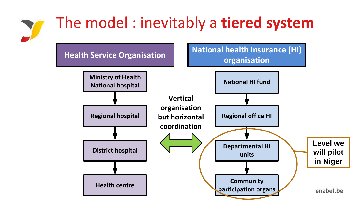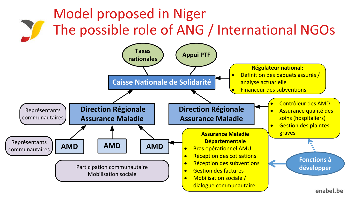